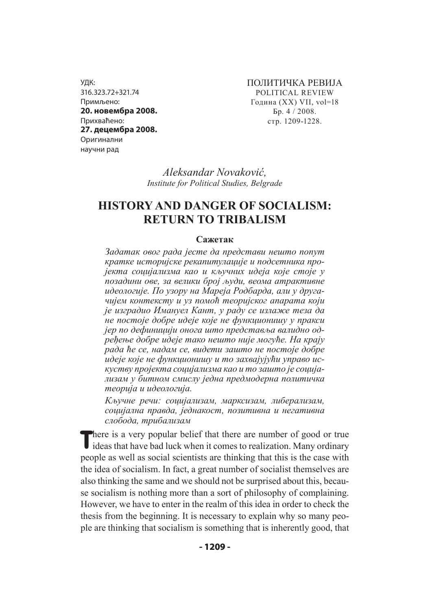УДК: 316.323.72+321.74 Примљено: **20. новембра 2008.** Прихваћено: **27. децембра 2008.** Оригинални научни рад

ПОЛИТИЧКА РЕВИЈА POLITICAL REVIEW Година (XX) VII, vol=18 Бр. 4 / 2008. стр. 1209-1228.

*Aleksandar Novaković, Institute for Political Studies, Belgrade*

# **HISTORY AND DANGER OF SOCIALISM: RETURN TO TRIBALISM**

#### **Сажетак**

*Задатак овог рада јесте да представи нешто попут кратке историјске рекапитулације и подсетника пројекта социјализма као и кључних идеја које стоје у позадини ове, за велики број људи, веома атрактивне идеологије. По узору на Мареја Родбарда, али у другачијем контексту и уз помоћ теоријског апарата који је изградио Имануел Кант, у раду се излаже теза да не постоје добре идеје које не функционишу у пракси јер по дефиницији онога што представља валидно одређење добре идеје тако нешто није могуће. На крају рада ће се, надам се, видети зашто не постоје добре идеје које не функционишу и то захвајујући управо искуству пројекта социјализма као и то зашто је социјализам у битном смислу једна предмодерна политичка теорија и идеологија.* 

*Кључне речи: социјализам, марксизам, либерализам, социјална правда, једнакост, позитивна и негативна слобода, трибализам*

There is a very popular belief that there are number of good or true ideas that have bad luck when it comes to realization. Many ordinary people as well as social scientists are thinking that this is the case with the idea of socialism. In fact, a great number of socialist themselves are also thinking the same and we should not be surprised about this, because socialism is nothing more than a sort of philosophy of complaining. However, we have to enter in the realm of this idea in order to check the thesis from the beginning. It is necessary to explain why so many people are thinking that socialism is something that is inherently good, that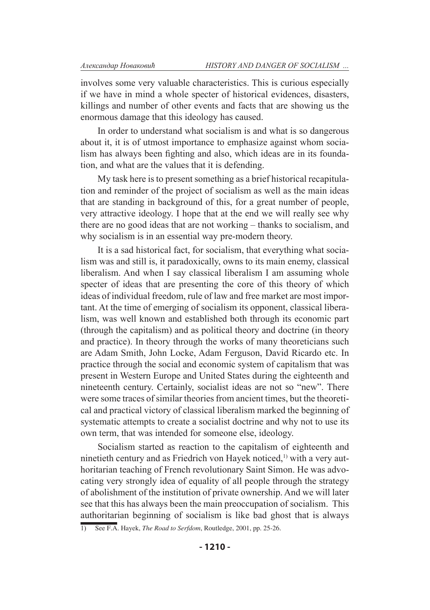involves some very valuable characteristics. This is curious especially if we have in mind a whole specter of historical evidences, disasters, killings and number of other events and facts that are showing us the enormous damage that this ideology has caused.

In order to understand what socialism is and what is so dangerous about it, it is of utmost importance to emphasize against whom socialism has always been fighting and also, which ideas are in its foundation, and what are the values that it is defending.

My task here is to present something as a brief historical recapitulation and reminder of the project of socialism as well as the main ideas that are standing in background of this, for a great number of people, very attractive ideology. I hope that at the end we will really see why there are no good ideas that are not working – thanks to socialism, and why socialism is in an essential way pre-modern theory.

It is a sad historical fact, for socialism, that everything what socialism was and still is, it paradoxically, owns to its main enemy, classical liberalism. And when I say classical liberalism I am assuming whole specter of ideas that are presenting the core of this theory of which ideas of individual freedom, rule of law and free market are most important. At the time of emerging of socialism its opponent, classical liberalism, was well known and established both through its economic part (through the capitalism) and as political theory and doctrine (in theory and practice). In theory through the works of many theoreticians such are Adam Smith, John Locke, Adam Ferguson, David Ricardo etc. In practice through the social and economic system of capitalism that was present in Western Europe and United States during the eighteenth and nineteenth century. Certainly, socialist ideas are not so "new". There were some traces of similar theories from ancient times, but the theoretical and practical victory of classical liberalism marked the beginning of systematic attempts to create a socialist doctrine and why not to use its own term, that was intended for someone else, ideology.

Socialism started as reaction to the capitalism of eighteenth and ninetieth century and as Friedrich von Hayek noticed, $<sup>1</sup>$  with a very aut-</sup> horitarian teaching of French revolutionary Saint Simon. He was advocating very strongly idea of equality of all people through the strategy of abolishment of the institution of private ownership. And we will later see that this has always been the main preoccupation of socialism. This authoritarian beginning of socialism is like bad ghost that is always

<sup>1)</sup> See F.A. Hayek, *The Road to Serfdom*, Routledge, 2001, pp. 25-26.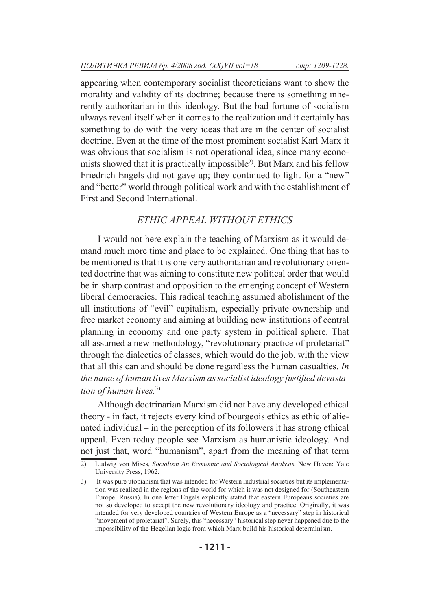appearing when contemporary socialist theoreticians want to show the morality and validity of its doctrine; because there is something inherently authoritarian in this ideology. But the bad fortune of socialism always reveal itself when it comes to the realization and it certainly has something to do with the very ideas that are in the center of socialist doctrine. Even at the time of the most prominent socialist Karl Marx it was obvious that socialism is not operational idea, since many economists showed that it is practically impossible2). But Marx and his fellow Friedrich Engels did not gave up; they continued to fight for a "new" and "better" world through political work and with the establishment of First and Second International.

## *ETHIC APPEAL WITHOUT ETHICS*

I would not here explain the teaching of Marxism as it would demand much more time and place to be explained. One thing that has to be mentioned is that it is one very authoritarian and revolutionary oriented doctrine that was aiming to constitute new political order that would be in sharp contrast and opposition to the emerging concept of Western liberal democracies. This radical teaching assumed abolishment of the all institutions of "evil" capitalism, especially private ownership and free market economy and aiming at building new institutions of central planning in economy and one party system in political sphere. That all assumed a new methodology, "revolutionary practice of proletariat" through the dialectics of classes, which would do the job, with the view that all this can and should be done regardless the human casualties. *In the name of human lives Marxism as socialist ideology justified devastation of human lives.*3)

Although doctrinarian Marxism did not have any developed ethical theory - in fact, it rejects every kind of bourgeois ethics as ethic of alienated individual – in the perception of its followers it has strong ethical appeal. Even today people see Marxism as humanistic ideology. And not just that, word "humanism", apart from the meaning of that term

<sup>2)</sup> Ludwig von Mises, *Socialism An Economic and Sociological Analysis.* New Haven: Yale University Press, 1962.

<sup>3)</sup> It was pure utopianism that was intended for Western industrial societies but its implementation was realized in the regions of the world for which it was not designed for (Southeastern Europe, Russia). In one letter Engels explicitly stated that eastern Europeans societies are not so developed to accept the new revolutionary ideology and practice. Originally, it was intended for very developed countries of Western Europe as a "necessary" step in historical "movement of proletariat". Surely, this "necessary" historical step never happened due to the impossibility of the Hegelian logic from which Marx build his historical determinism.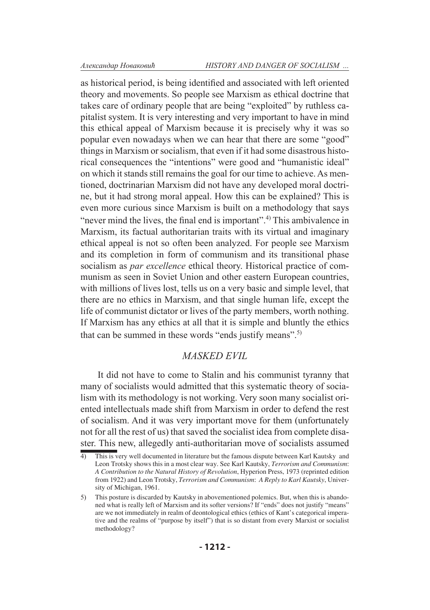as historical period, is being identified and associated with left oriented theory and movements. So people see Marxism as ethical doctrine that takes care of ordinary people that are being "exploited" by ruthless capitalist system. It is very interesting and very important to have in mind this ethical appeal of Marxism because it is precisely why it was so popular even nowadays when we can hear that there are some "good" things in Marxism or socialism, that even if it had some disastrous historical consequences the "intentions" were good and "humanistic ideal" on which it stands still remains the goal for our time to achieve. As mentioned, doctrinarian Marxism did not have any developed moral doctrine, but it had strong moral appeal. How this can be explained? This is even more curious since Marxism is built on a methodology that says "never mind the lives, the final end is important".<sup>4)</sup> This ambivalence in Marxism, its factual authoritarian traits with its virtual and imaginary ethical appeal is not so often been analyzed. For people see Marxism and its completion in form of communism and its transitional phase socialism as *par excellence* ethical theory. Historical practice of communism as seen in Soviet Union and other eastern European countries, with millions of lives lost, tells us on a very basic and simple level, that there are no ethics in Marxism, and that single human life, except the life of communist dictator or lives of the party members, worth nothing. If Marxism has any ethics at all that it is simple and bluntly the ethics that can be summed in these words "ends justify means".5)

## *MASKED EVIL*

It did not have to come to Stalin and his communist tyranny that many of socialists would admitted that this systematic theory of socialism with its methodology is not working. Very soon many socialist oriented intellectuals made shift from Marxism in order to defend the rest of socialism. And it was very important move for them (unfortunately not for all the rest of us) that saved the socialist idea from complete disaster. This new, allegedly anti-authoritarian move of socialists assumed

<sup>4)</sup> This is very well documented in literature but the famous dispute between Karl Kautsky and Leon Trotsky shows this in a most clear way. See Karl Kautsky, *Terrorism and Communism*: *A Contribution to the Natural History of Revolution*, Hyperion Press, 1973 (reprinted edition from 1922) and Leon Trotsky, *Terrorism and Communism*: *A Reply to Karl Kautsky*, University of Michigan, 1961.

<sup>5)</sup> This posture is discarded by Kautsky in abovementioned polemics. But, when this is abandoned what is really left of Marxism and its softer versions? If "ends" does not justify "means" are we not immediately in realm of deontological ethics (ethics of Kant's categorical imperative and the realms of "purpose by itself") that is so distant from every Marxist or socialist methodology?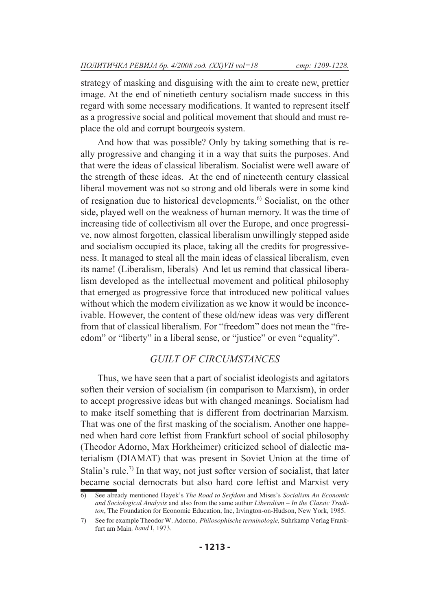strategy of masking and disguising with the aim to create new, prettier image. At the end of ninetieth century socialism made success in this regard with some necessary modifications. It wanted to represent itself as a progressive social and political movement that should and must replace the old and corrupt bourgeois system.

And how that was possible? Only by taking something that is really progressive and changing it in a way that suits the purposes. And that were the ideas of classical liberalism. Socialist were well aware of the strength of these ideas. At the end of nineteenth century classical liberal movement was not so strong and old liberals were in some kind of resignation due to historical developments.6) Socialist, on the other side, played well on the weakness of human memory. It was the time of increasing tide of collectivism all over the Europe, and once progressive, now almost forgotten, classical liberalism unwillingly stepped aside and socialism occupied its place, taking all the credits for progressiveness. It managed to steal all the main ideas of classical liberalism, even its name! (Liberalism, liberals) And let us remind that classical liberalism developed as the intellectual movement and political philosophy that emerged as progressive force that introduced new political values without which the modern civilization as we know it would be inconceivable. However, the content of these old/new ideas was very different from that of classical liberalism. For "freedom" does not mean the "freedom" or "liberty" in a liberal sense, or "justice" or even "equality".

#### *GUILT OF CIRCUMSTANCES*

Thus, we have seen that a part of socialist ideologists and agitators soften their version of socialism (in comparison to Marxism), in order to accept progressive ideas but with changed meanings. Socialism had to make itself something that is different from doctrinarian Marxism. That was one of the first masking of the socialism. Another one happened when hard core leftist from Frankfurt school of social philosophy (Theodor Adorno, Max Horkheimer) criticized school of dialectic materialism (DIAMAT) that was present in Soviet Union at the time of Stalin's rule.<sup>7)</sup> In that way, not just softer version of socialist, that later became social democrats but also hard core leftist and Marxist very

<sup>6)</sup> See already mentioned Hayek's *The Road to Serfdom* and Mises's *Socialism An Economic and Sociological Analysis* and also from the same author *Liberalism – In the Classic Traditon*, The Foundation for Economic Education, Inc, Irvington-on-Hudson, New York, 1985.

<sup>7)</sup> See for example Theodor W. Adorno, *Philosophische terminologie,* Suhrkamp Verlag Frankfurt am Main*, band* I, 1973.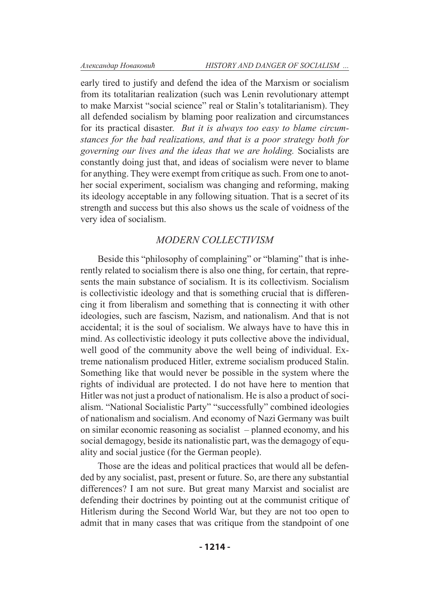early tired to justify and defend the idea of the Marxism or socialism from its totalitarian realization (such was Lenin revolutionary attempt to make Marxist "social science" real or Stalin's totalitarianism). They all defended socialism by blaming poor realization and circumstances for its practical disaster. *But it is always too easy to blame circumstances for the bad realizations, and that is a poor strategy both for governing our lives and the ideas that we are holding.* Socialists are constantly doing just that, and ideas of socialism were never to blame for anything. They were exempt from critique as such. From one to another social experiment, socialism was changing and reforming, making its ideology acceptable in any following situation. That is a secret of its strength and success but this also shows us the scale of voidness of the very idea of socialism.

#### *MODERN COLLECTIVISM*

Beside this "philosophy of complaining" or "blaming" that is inherently related to socialism there is also one thing, for certain, that represents the main substance of socialism. It is its collectivism. Socialism is collectivistic ideology and that is something crucial that is differencing it from liberalism and something that is connecting it with other ideologies, such are fascism, Nazism, and nationalism. And that is not accidental; it is the soul of socialism. We always have to have this in mind. As collectivistic ideology it puts collective above the individual, well good of the community above the well being of individual. Extreme nationalism produced Hitler, extreme socialism produced Stalin. Something like that would never be possible in the system where the rights of individual are protected. I do not have here to mention that Hitler was not just a product of nationalism. He is also a product of socialism. "National Socialistic Party" "successfully" combined ideologies of nationalism and socialism. And economy of Nazi Germany was built on similar economic reasoning as socialist – planned economy, and his social demagogy, beside its nationalistic part, was the demagogy of equality and social justice (for the German people).

Those are the ideas and political practices that would all be defended by any socialist, past, present or future. So, are there any substantial differences? I am not sure. But great many Marxist and socialist are defending their doctrines by pointing out at the communist critique of Hitlerism during the Second World War, but they are not too open to admit that in many cases that was critique from the standpoint of one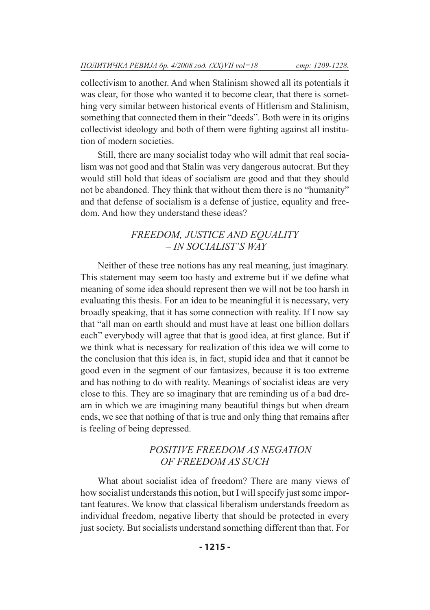collectivism to another. And when Stalinism showed all its potentials it was clear, for those who wanted it to become clear, that there is something very similar between historical events of Hitlerism and Stalinism, something that connected them in their "deeds". Both were in its origins collectivist ideology and both of them were fighting against all institution of modern societies.

Still, there are many socialist today who will admit that real socialism was not good and that Stalin was very dangerous autocrat. But they would still hold that ideas of socialism are good and that they should not be abandoned. They think that without them there is no "humanity" and that defense of socialism is a defense of justice, equality and freedom. And how they understand these ideas?

### *FREEDOM, JUSTICE AND EQUALITY – IN SOCIALIST'S WAY*

Neither of these tree notions has any real meaning, just imaginary. This statement may seem too hasty and extreme but if we define what meaning of some idea should represent then we will not be too harsh in evaluating this thesis. For an idea to be meaningful it is necessary, very broadly speaking, that it has some connection with reality. If I now say that "all man on earth should and must have at least one billion dollars each" everybody will agree that that is good idea, at first glance. But if we think what is necessary for realization of this idea we will come to the conclusion that this idea is, in fact, stupid idea and that it cannot be good even in the segment of our fantasizes, because it is too extreme and has nothing to do with reality. Meanings of socialist ideas are very close to this. They are so imaginary that are reminding us of a bad dream in which we are imagining many beautiful things but when dream ends, we see that nothing of that is true and only thing that remains after is feeling of being depressed.

## *POSITIVE FREEDOM AS NEGATION OF FREEDOM AS SUCH*

What about socialist idea of freedom? There are many views of how socialist understands this notion, but I will specify just some important features. We know that classical liberalism understands freedom as individual freedom, negative liberty that should be protected in every just society. But socialists understand something different than that. For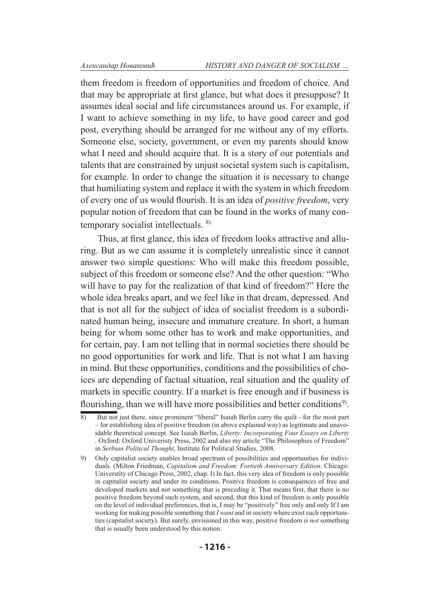them freedom is freedom of opportunities and freedom of choice. And that may be appropriate at first glance, but what does it presuppose? It assumes ideal social and life circumstances around us. For example, if I want to achieve something in my life, to have good career and god post, everything should be arranged for me without any of my efforts. Someone else, society, government, or even my parents should know what I need and should acquire that. It is a story of our potentials and talents that are constrained by unjust societal system such is capitalism, for example. In order to change the situation it is necessary to change that humiliating system and replace it with the system in which freedom of every one of us would flourish. It is an idea of *positive freedom*, very popular notion of freedom that can be found in the works of many contemporary socialist intellectuals. 8)

Thus, at first glance, this idea of freedom looks attractive and alluring. But as we can assume it is completely unrealistic since it cannot answer two simple questions: Who will make this freedom possible, subject of this freedom or someone else? And the other question: "Who will have to pay for the realization of that kind of freedom?" Here the whole idea breaks apart, and we feel like in that dream, depressed. And that is not all for the subject of idea of socialist freedom is a subordinated human being, insecure and immature creature. In short, a human being for whom some other has to work and make opportunities, and for certain, pay. I am not telling that in normal societies there should be no good opportunities for work and life. That is not what I am having in mind. But these opportunities, conditions and the possibilities of choices are depending of factual situation, real situation and the quality of markets in specific country. If a market is free enough and if business is flourishing, than we will have more possibilities and better conditions<sup>9)</sup>.

<sup>8)</sup> But not just there, since prominent "liberal" Isaiah Berlin carry the quilt - for the most part – for establishing idea of positive freedom (in above explained way) as legitimate and unavoidable theoretical concept. See Isaiah Berlin, *Liberty: Incorporating Four Essays on Liberty*  . Oxford: Oxford Univeristy Press, 2002 and also my article "The Philosophies of Freedom" in *Serbian Political Thought*, Institute for Political Studies, 2008.

<sup>9)</sup> Only capitalist society enables broad spectrum of possibilities and opportunities for individuals. (Milton Friedman, *Capitalism and Freedom*: *Fortieth Anniversary Edition*. Chicago: Universtity of Chicago Press, 2002, chap. I) In fact, this very idea of freedom is only possible in capitalist society and under its conditions. Positive freedom is consequences of free and developed markets and not something that is preceding it. That means first, that there is no positive freedom beyond such system, and second, that this kind of freedom is only possible on the level of individual preferences, that is, I may be "positively" free only and only If I am working for making possible something that *I want* and in society where exist such opportunities (capitalist society). But surely, envisioned in this way, positive freedom *is not* something that is usually been understood by this notion.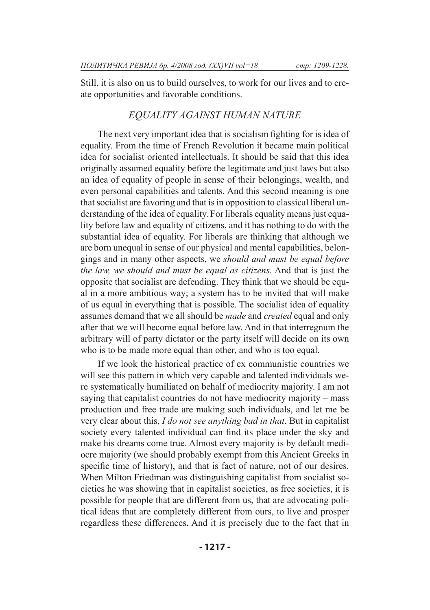Still, it is also on us to build ourselves, to work for our lives and to create opportunities and favorable conditions.

### *EQUALITY AGAINST HUMAN NATURE*

The next very important idea that is socialism fighting for is idea of equality. From the time of French Revolution it became main political idea for socialist oriented intellectuals. It should be said that this idea originally assumed equality before the legitimate and just laws but also an idea of equality of people in sense of their belongings, wealth, and even personal capabilities and talents. And this second meaning is one that socialist are favoring and that is in opposition to classical liberal understanding of the idea of equality. For liberals equality means just equality before law and equality of citizens, and it has nothing to do with the substantial idea of equality. For liberals are thinking that although we are born unequal in sense of our physical and mental capabilities, belongings and in many other aspects, we *should and must be equal before the law, we should and must be equal as citizens.* And that is just the opposite that socialist are defending. They think that we should be equal in a more ambitious way; a system has to be invited that will make of us equal in everything that is possible. The socialist idea of equality assumes demand that we all should be *made* and *created* equal and only after that we will become equal before law. And in that interregnum the arbitrary will of party dictator or the party itself will decide on its own who is to be made more equal than other, and who is too equal.

If we look the historical practice of ex communistic countries we will see this pattern in which very capable and talented individuals were systematically humiliated on behalf of mediocrity majority. I am not saying that capitalist countries do not have mediocrity majority – mass production and free trade are making such individuals, and let me be very clear about this, *I do not see anything bad in that*. But in capitalist society every talented individual can find its place under the sky and make his dreams come true. Almost every majority is by default mediocre majority (we should probably exempt from this Ancient Greeks in specific time of history), and that is fact of nature, not of our desires. When Milton Friedman was distinguishing capitalist from socialist societies he was showing that in capitalist societies, as free societies, it is possible for people that are different from us, that are advocating political ideas that are completely different from ours, to live and prosper regardless these differences. And it is precisely due to the fact that in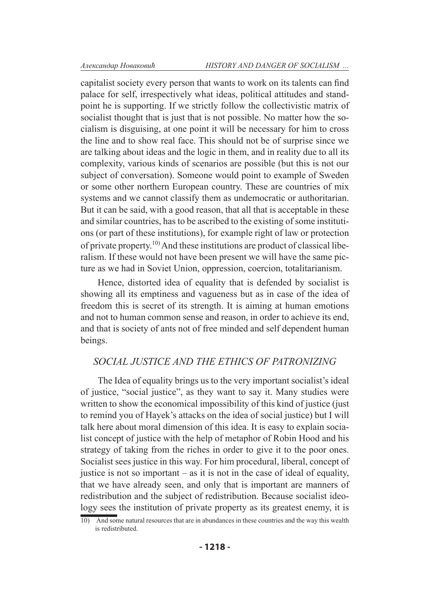capitalist society every person that wants to work on its talents can find palace for self, irrespectively what ideas, political attitudes and standpoint he is supporting. If we strictly follow the collectivistic matrix of socialist thought that is just that is not possible. No matter how the socialism is disguising, at one point it will be necessary for him to cross the line and to show real face. This should not be of surprise since we are talking about ideas and the logic in them, and in reality due to all its complexity, various kinds of scenarios are possible (but this is not our subject of conversation). Someone would point to example of Sweden or some other northern European country. These are countries of mix systems and we cannot classify them as undemocratic or authoritarian. But it can be said, with a good reason, that all that is acceptable in these and similar countries, has to be ascribed to the existing of some institutions (or part of these institutions), for example right of law or protection of private property.10) And these institutions are product of classical liberalism. If these would not have been present we will have the same picture as we had in Soviet Union, oppression, coercion, totalitarianism.

Hence, distorted idea of equality that is defended by socialist is showing all its emptiness and vagueness but as in case of the idea of freedom this is secret of its strength. It is aiming at human emotions and not to human common sense and reason, in order to achieve its end, and that is society of ants not of free minded and self dependent human beings.

### *SOCIAL JUSTICE AND THE ETHICS OF PATRONIZING*

The Idea of equality brings us to the very important socialist's ideal of justice, "social justice", as they want to say it. Many studies were written to show the economical impossibility of this kind of justice (just to remind you of Hayek's attacks on the idea of social justice) but I will talk here about moral dimension of this idea. It is easy to explain socialist concept of justice with the help of metaphor of Robin Hood and his strategy of taking from the riches in order to give it to the poor ones. Socialist sees justice in this way. For him procedural, liberal, concept of justice is not so important – as it is not in the case of ideal of equality, that we have already seen, and only that is important are manners of redistribution and the subject of redistribution. Because socialist ideology sees the institution of private property as its greatest enemy, it is

<sup>10)</sup> And some natural resources that are in abundances in these countries and the way this wealth is redistributed.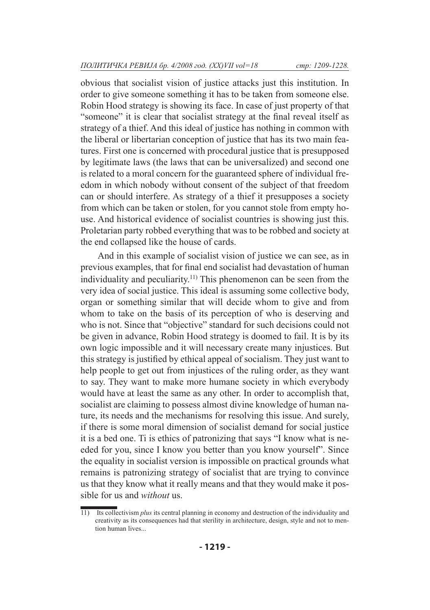obvious that socialist vision of justice attacks just this institution. In order to give someone something it has to be taken from someone else. Robin Hood strategy is showing its face. In case of just property of that "someone" it is clear that socialist strategy at the final reveal itself as strategy of a thief. And this ideal of justice has nothing in common with the liberal or libertarian conception of justice that has its two main features. First one is concerned with procedural justice that is presupposed by legitimate laws (the laws that can be universalized) and second one is related to a moral concern for the guaranteed sphere of individual freedom in which nobody without consent of the subject of that freedom can or should interfere. As strategy of a thief it presupposes a society from which can be taken or stolen, for you cannot stole from empty house. And historical evidence of socialist countries is showing just this. Proletarian party robbed everything that was to be robbed and society at the end collapsed like the house of cards.

And in this example of socialist vision of justice we can see, as in previous examples, that for final end socialist had devastation of human individuality and peculiarity.<sup>11)</sup> This phenomenon can be seen from the very idea of social justice. This ideal is assuming some collective body, organ or something similar that will decide whom to give and from whom to take on the basis of its perception of who is deserving and who is not. Since that "objective" standard for such decisions could not be given in advance, Robin Hood strategy is doomed to fail. It is by its own logic impossible and it will necessary create many injustices. But this strategy is justified by ethical appeal of socialism. They just want to help people to get out from injustices of the ruling order, as they want to say. They want to make more humane society in which everybody would have at least the same as any other. In order to accomplish that, socialist are claiming to possess almost divine knowledge of human nature, its needs and the mechanisms for resolving this issue. And surely, if there is some moral dimension of socialist demand for social justice it is a bed one. Ti is ethics of patronizing that says "I know what is needed for you, since I know you better than you know yourself". Since the equality in socialist version is impossible on practical grounds what remains is patronizing strategy of socialist that are trying to convince us that they know what it really means and that they would make it possible for us and *without* us.

<sup>11)</sup> Its collectivism *plus* its central planning in economy and destruction of the individuality and creativity as its consequences had that sterility in architecture, design, style and not to mention human lives...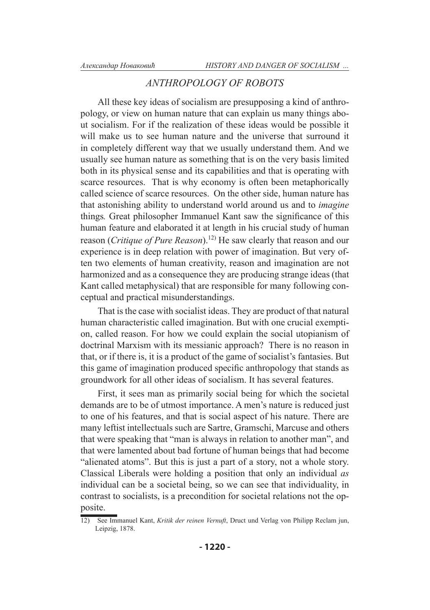#### *ANTHROPOLOGY OF ROBOTS*

All these key ideas of socialism are presupposing a kind of anthropology, or view on human nature that can explain us many things about socialism. For if the realization of these ideas would be possible it will make us to see human nature and the universe that surround it in completely different way that we usually understand them. And we usually see human nature as something that is on the very basis limited both in its physical sense and its capabilities and that is operating with scarce resources. That is why economy is often been metaphorically called science of scarce resources. On the other side, human nature has that astonishing ability to understand world around us and to *imagine*  things*.* Great philosopher Immanuel Kant saw the significance of this human feature and elaborated it at length in his crucial study of human reason (*Critique of Pure Reason*).12) He saw clearly that reason and our experience is in deep relation with power of imagination. But very often two elements of human creativity, reason and imagination are not harmonized and as a consequence they are producing strange ideas (that Kant called metaphysical) that are responsible for many following conceptual and practical misunderstandings.

That is the case with socialist ideas. They are product of that natural human characteristic called imagination. But with one crucial exemption, called reason. For how we could explain the social utopianism of doctrinal Marxism with its messianic approach? There is no reason in that, or if there is, it is a product of the game of socialist's fantasies. But this game of imagination produced specific anthropology that stands as groundwork for all other ideas of socialism. It has several features.

First, it sees man as primarily social being for which the societal demands are to be of utmost importance. A men's nature is reduced just to one of his features, and that is social aspect of his nature. There are many leftist intellectuals such are Sartre, Gramschi, Marcuse and others that were speaking that "man is always in relation to another man", and that were lamented about bad fortune of human beings that had become "alienated atoms". But this is just a part of a story, not a whole story. Classical Liberals were holding a position that only an individual *as* individual can be a societal being, so we can see that individuality, in contrast to socialists, is a precondition for societal relations not the opposite.

<sup>12)</sup> See Immanuel Kant, *Kritik der reinen Vernuft*, Druct und Verlag von Philipp Reclam jun, Leipzig, 1878.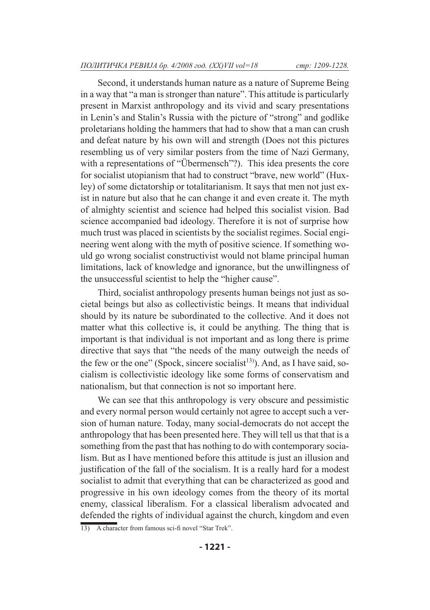Second, it understands human nature as a nature of Supreme Being in a way that "a man is stronger than nature". This attitude is particularly present in Marxist anthropology and its vivid and scary presentations in Lenin's and Stalin's Russia with the picture of "strong" and godlike proletarians holding the hammers that had to show that a man can crush and defeat nature by his own will and strength (Does not this pictures resembling us of very similar posters from the time of Nazi Germany, with a representations of "Übermensch"?). This idea presents the core for socialist utopianism that had to construct "brave, new world" (Huxley) of some dictatorship or totalitarianism. It says that men not just exist in nature but also that he can change it and even create it. The myth of almighty scientist and science had helped this socialist vision. Bad science accompanied bad ideology. Therefore it is not of surprise how much trust was placed in scientists by the socialist regimes. Social engineering went along with the myth of positive science. If something would go wrong socialist constructivist would not blame principal human limitations, lack of knowledge and ignorance, but the unwillingness of the unsuccessful scientist to help the "higher cause".

Third, socialist anthropology presents human beings not just as societal beings but also as collectivistic beings. It means that individual should by its nature be subordinated to the collective. And it does not matter what this collective is, it could be anything. The thing that is important is that individual is not important and as long there is prime directive that says that "the needs of the many outweigh the needs of the few or the one" (Spock, sincere socialist<sup>13)</sup>). And, as I have said, socialism is collectivistic ideology like some forms of conservatism and nationalism, but that connection is not so important here.

We can see that this anthropology is very obscure and pessimistic and every normal person would certainly not agree to accept such a version of human nature. Today, many social-democrats do not accept the anthropology that has been presented here. They will tell us that that is a something from the past that has nothing to do with contemporary socialism. But as I have mentioned before this attitude is just an illusion and justification of the fall of the socialism. It is a really hard for a modest socialist to admit that everything that can be characterized as good and progressive in his own ideology comes from the theory of its mortal enemy, classical liberalism. For a classical liberalism advocated and defended the rights of individual against the church, kingdom and even

<sup>13)</sup> A character from famous sci-fi novel "Star Trek".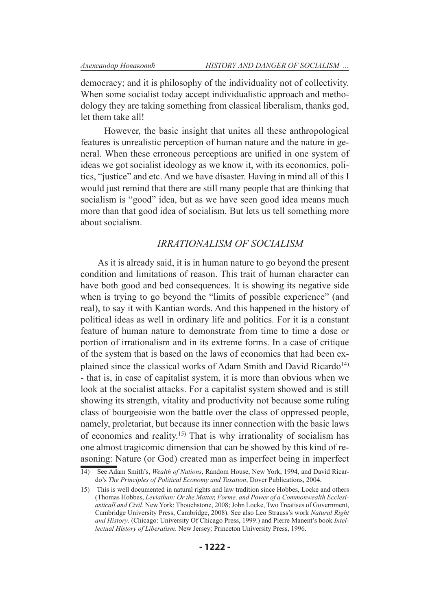democracy; and it is philosophy of the individuality not of collectivity. When some socialist today accept individualistic approach and methodology they are taking something from classical liberalism, thanks god, let them take all!

 However, the basic insight that unites all these anthropological features is unrealistic perception of human nature and the nature in general. When these erroneous perceptions are unified in one system of ideas we got socialist ideology as we know it, with its economics, politics, "justice" and etc. And we have disaster. Having in mind all of this I would just remind that there are still many people that are thinking that socialism is "good" idea, but as we have seen good idea means much more than that good idea of socialism. But lets us tell something more about socialism.

#### *IRRATIONALISM OF SOCIALISM*

As it is already said, it is in human nature to go beyond the present condition and limitations of reason. This trait of human character can have both good and bed consequences. It is showing its negative side when is trying to go beyond the "limits of possible experience" (and real), to say it with Kantian words. And this happened in the history of political ideas as well in ordinary life and politics. For it is a constant feature of human nature to demonstrate from time to time a dose or portion of irrationalism and in its extreme forms. In a case of critique of the system that is based on the laws of economics that had been explained since the classical works of Adam Smith and David Ricardo<sup>14)</sup> - that is, in case of capitalist system, it is more than obvious when we look at the socialist attacks. For a capitalist system showed and is still showing its strength, vitality and productivity not because some ruling class of bourgeoisie won the battle over the class of oppressed people, namely, proletariat, but because its inner connection with the basic laws of economics and reality.15) That is why irrationality of socialism has one almost tragicomic dimension that can be showed by this kind of reasoning: Nature (or God) created man as imperfect being in imperfect

<sup>14)</sup> See Adam Smith's, *Wealth of Nations*, Random House, New York, 1994, and David Ricardo's *The Principles of Political Economy and Taxation*, Dover Publications, 2004.

<sup>15)</sup> This is well documented in natural rights and law tradition since Hobbes, Locke and others (Thomas Hobbes, *Leviathan: Or the Matter, Forme, and Power of a Commonwealth Ecclesiasticall and Civil*. New York: Thouchstone, 2008; John Locke, Two Treatises of Government, Cambridge University Press, Cambridge, 2008). See also Leo Strauss's work *Natural Right and History*. (Chicago: University Of Chicago Press, 1999.) and Pierre Manent's book *Intellectual History of Liberalism*. New Jersey: Princeton University Press, 1996.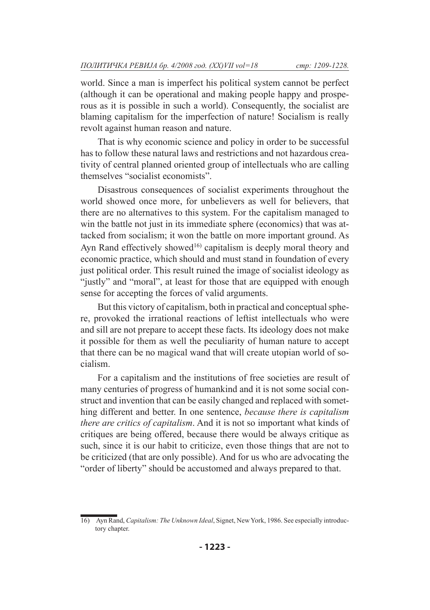world. Since a man is imperfect his political system cannot be perfect (although it can be operational and making people happy and prosperous as it is possible in such a world). Consequently, the socialist are blaming capitalism for the imperfection of nature! Socialism is really revolt against human reason and nature.

That is why economic science and policy in order to be successful has to follow these natural laws and restrictions and not hazardous creativity of central planned oriented group of intellectuals who are calling themselves "socialist economists".

Disastrous consequences of socialist experiments throughout the world showed once more, for unbelievers as well for believers, that there are no alternatives to this system. For the capitalism managed to win the battle not just in its immediate sphere (economics) that was attacked from socialism; it won the battle on more important ground. As Ayn Rand effectively showed<sup>16)</sup> capitalism is deeply moral theory and economic practice, which should and must stand in foundation of every just political order. This result ruined the image of socialist ideology as "justly" and "moral", at least for those that are equipped with enough sense for accepting the forces of valid arguments.

But this victory of capitalism, both in practical and conceptual sphere, provoked the irrational reactions of leftist intellectuals who were and sill are not prepare to accept these facts. Its ideology does not make it possible for them as well the peculiarity of human nature to accept that there can be no magical wand that will create utopian world of socialism.

For a capitalism and the institutions of free societies are result of many centuries of progress of humankind and it is not some social construct and invention that can be easily changed and replaced with something different and better. In one sentence, *because there is capitalism there are critics of capitalism*. And it is not so important what kinds of critiques are being offered, because there would be always critique as such, since it is our habit to criticize, even those things that are not to be criticized (that are only possible). And for us who are advocating the "order of liberty" should be accustomed and always prepared to that.

<sup>16)</sup> Ayn Rand, *Capitalism: The Unknown Ideal*, Signet, New York, 1986. See especially introductory chapter.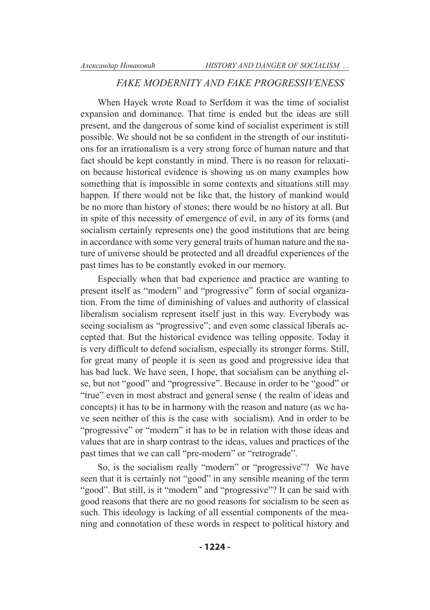### *FAKE MODERNITY AND FAKE PROGRESSIVENESS*

When Hayek wrote Road to Serfdom it was the time of socialist expansion and dominance. That time is ended but the ideas are still present, and the dangerous of some kind of socialist experiment is still possible. We should not be so confident in the strength of our institutions for an irrationalism is a very strong force of human nature and that fact should be kept constantly in mind. There is no reason for relaxation because historical evidence is showing us on many examples how something that is impossible in some contexts and situations still may happen. If there would not be like that, the history of mankind would be no more than history of stones; there would be no history at all. But in spite of this necessity of emergence of evil, in any of its forms (and socialism certainly represents one) the good institutions that are being in accordance with some very general traits of human nature and the nature of universe should be protected and all dreadful experiences of the past times has to be constantly evoked in our memory.

Especially when that bad experience and practice are wanting to present itself as "modern" and "progressive" form of social organization. From the time of diminishing of values and authority of classical liberalism socialism represent itself just in this way. Everybody was seeing socialism as "progressive"; and even some classical liberals accepted that. But the historical evidence was telling opposite. Today it is very difficult to defend socialism, especially its stronger forms. Still, for great many of people it is seen as good and progressive idea that has bad luck. We have seen, I hope, that socialism can be anything else, but not "good" and "progressive". Because in order to be "good" or "true" even in most abstract and general sense ( the realm of ideas and concepts) it has to be in harmony with the reason and nature (as we have seen neither of this is the case with socialism). And in order to be "progressive" or "modern" it has to be in relation with those ideas and values that are in sharp contrast to the ideas, values and practices of the past times that we can call "pre-modern" or "retrograde".

So, is the socialism really "modern" or "progressive"? We have seen that it is certainly not "good" in any sensible meaning of the term "good". But still, is it "modern" and "progressive"? It can be said with good reasons that there are no good reasons for socialism to be seen as such. This ideology is lacking of all essential components of the meaning and connotation of these words in respect to political history and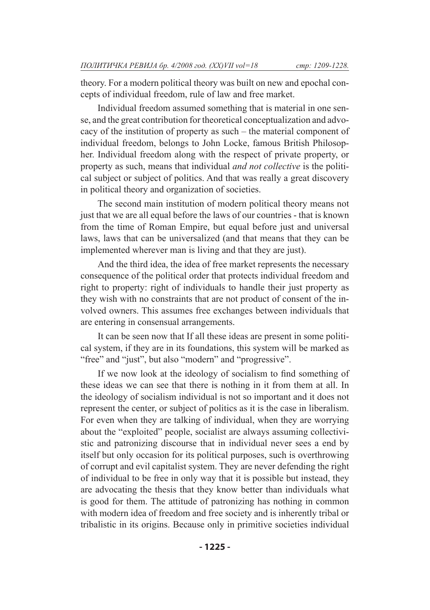theory. For a modern political theory was built on new and epochal concepts of individual freedom, rule of law and free market.

Individual freedom assumed something that is material in one sense, and the great contribution for theoretical conceptualization and advocacy of the institution of property as such – the material component of individual freedom, belongs to John Locke, famous British Philosopher. Individual freedom along with the respect of private property, or property as such, means that individual *and not collective* is the political subject or subject of politics. And that was really a great discovery in political theory and organization of societies.

The second main institution of modern political theory means not just that we are all equal before the laws of our countries - that is known from the time of Roman Empire, but equal before just and universal laws, laws that can be universalized (and that means that they can be implemented wherever man is living and that they are just).

And the third idea, the idea of free market represents the necessary consequence of the political order that protects individual freedom and right to property: right of individuals to handle their just property as they wish with no constraints that are not product of consent of the involved owners. This assumes free exchanges between individuals that are entering in consensual arrangements.

It can be seen now that If all these ideas are present in some political system, if they are in its foundations, this system will be marked as "free" and "just", but also "modern" and "progressive".

If we now look at the ideology of socialism to find something of these ideas we can see that there is nothing in it from them at all. In the ideology of socialism individual is not so important and it does not represent the center, or subject of politics as it is the case in liberalism. For even when they are talking of individual, when they are worrying about the "exploited" people, socialist are always assuming collectivistic and patronizing discourse that in individual never sees a end by itself but only occasion for its political purposes, such is overthrowing of corrupt and evil capitalist system. They are never defending the right of individual to be free in only way that it is possible but instead, they are advocating the thesis that they know better than individuals what is good for them. The attitude of patronizing has nothing in common with modern idea of freedom and free society and is inherently tribal or tribalistic in its origins. Because only in primitive societies individual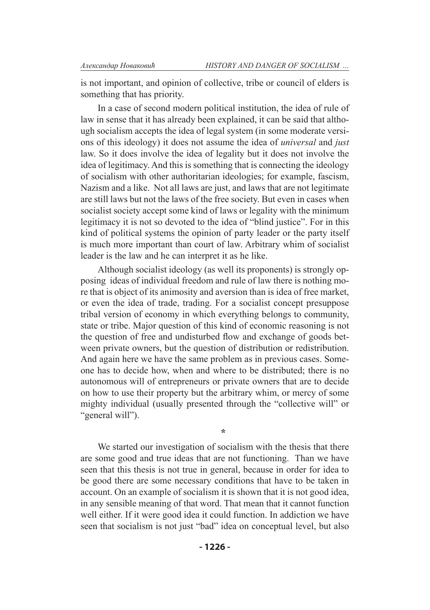is not important, and opinion of collective, tribe or council of elders is something that has priority.

In a case of second modern political institution, the idea of rule of law in sense that it has already been explained, it can be said that although socialism accepts the idea of legal system (in some moderate versions of this ideology) it does not assume the idea of *universal* and *just* law. So it does involve the idea of legality but it does not involve the idea of legitimacy. And this is something that is connecting the ideology of socialism with other authoritarian ideologies; for example, fascism, Nazism and a like. Not all laws are just, and laws that are not legitimate are still laws but not the laws of the free society. But even in cases when socialist society accept some kind of laws or legality with the minimum legitimacy it is not so devoted to the idea of "blind justice". For in this kind of political systems the opinion of party leader or the party itself is much more important than court of law. Arbitrary whim of socialist leader is the law and he can interpret it as he like.

Although socialist ideology (as well its proponents) is strongly opposing ideas of individual freedom and rule of law there is nothing more that is object of its animosity and aversion than is idea of free market, or even the idea of trade, trading. For a socialist concept presuppose tribal version of economy in which everything belongs to community, state or tribe. Major question of this kind of economic reasoning is not the question of free and undisturbed flow and exchange of goods between private owners, but the question of distribution or redistribution. And again here we have the same problem as in previous cases. Someone has to decide how, when and where to be distributed; there is no autonomous will of entrepreneurs or private owners that are to decide on how to use their property but the arbitrary whim, or mercy of some mighty individual (usually presented through the "collective will" or "general will").

We started our investigation of socialism with the thesis that there are some good and true ideas that are not functioning. Than we have seen that this thesis is not true in general, because in order for idea to be good there are some necessary conditions that have to be taken in account. On an example of socialism it is shown that it is not good idea, in any sensible meaning of that word. That mean that it cannot function well either. If it were good idea it could function. In addiction we have seen that socialism is not just "bad" idea on conceptual level, but also

**\***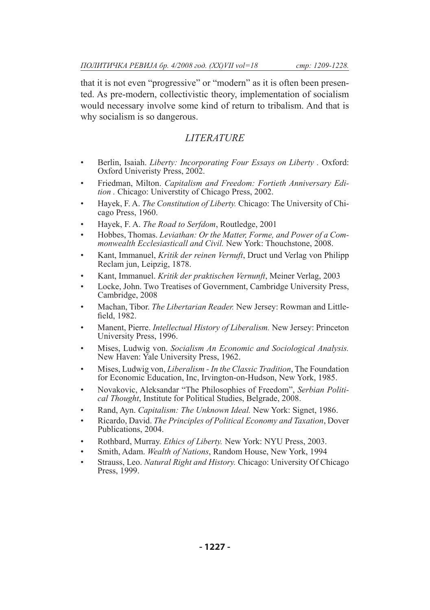that it is not even "progressive" or "modern" as it is often been presented. As pre-modern, collectivistic theory, implementation of socialism would necessary involve some kind of return to tribalism. And that is why socialism is so dangerous.

## *LITERATURE*

- Berlin, Isaiah. *Liberty: Incorporating Four Essays on Liberty .* Oxford: Oxford Univeristy Press, 2002. •
- Friedman, Milton. *Capitalism and Freedom: Fortieth Anniversary Edition .* Chicago: Universtity of Chicago Press, 2002. •
- Hayek, F. A. *The Constitution of Liberty*. Chicago: The University of Chicago Press, 1960. •
- Hayek, F. A. *The Road to Serfdom*, Routledge, 2001 •
- Hobbes, Thomas. *Leviathan: Or the Matter, Forme, and Power of a Commonwealth Ecclesiasticall and Civil.* New York: Thouchstone, 2008. •
- Kant, Immanuel, *Kritik der reinen Vernuft*, Druct und Verlag von Philipp Reclam jun, Leipzig, 1878. •
- Kant, Immanuel. *Kritik der praktischen Vernunft*, Meiner Verlag, 2003 •
- Locke, John. Two Treatises of Government, Cambridge University Press, Cambridge, 2008 •
- Machan, Tibor. *The Libertarian Reader.* New Jersey: Rowman and Littlefield, 1982. •
- Manent, Pierre. *Intellectual History of Liberalism.* New Jersey: Princeton University Press, 1996. •
- Mises, Ludwig von. *Socialism An Economic and Sociological Analysis.* New Haven: Yale University Press, 1962. •
- Mises, Ludwig von, *Liberalism In the Classic Tradition*, The Foundation for Economic Education, Inc, Irvington-on-Hudson, New York, 1985. •
- Novakovic, Aleksandar "The Philosophies of Freedom", *Serbian Political Thought*, Institute for Political Studies, Belgrade, 2008. •
- Rand, Ayn. *Capitalism: The Unknown Ideal.* New York: Signet, 1986. •
- Ricardo, David. *The Principles of Political Economy and Taxation*, Dover Publications, 2004. •
- Rothbard, Murray. *Ethics of Liberty.* New York: NYU Press, 2003. •
- Smith, Adam. *Wealth of Nations*, Random House, New York, 1994 •
- Strauss, Leo. *Natural Right and History.* Chicago: University Of Chicago Press, 1999. •